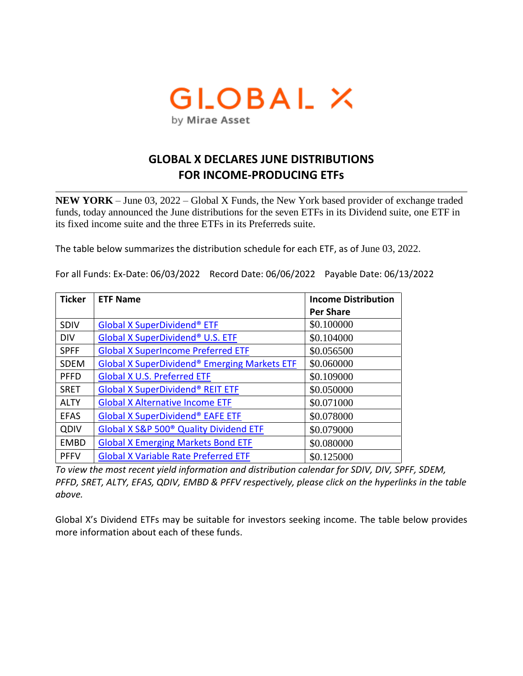# GLOBAL X by Mirae Asset

## **GLOBAL X DECLARES JUNE DISTRIBUTIONS FOR INCOME-PRODUCING ETFs**

**NEW YORK** – June 03, 2022 – Global X Funds, the New York based provider of exchange traded funds, today announced the June distributions for the seven ETFs in its Dividend suite, one ETF in its fixed income suite and the three ETFs in its Preferreds suite.

The table below summarizes the distribution schedule for each ETF, as of June 03, 2022.

| <b>Ticker</b> | <b>ETF Name</b>                                    | <b>Income Distribution</b> |
|---------------|----------------------------------------------------|----------------------------|
|               |                                                    | <b>Per Share</b>           |
| <b>SDIV</b>   | <b>Global X SuperDividend® ETF</b>                 | \$0.100000                 |
| <b>DIV</b>    | Global X SuperDividend® U.S. ETF                   | \$0.104000                 |
| <b>SPFF</b>   | <b>Global X SuperIncome Preferred ETF</b>          | \$0.056500                 |
| <b>SDEM</b>   | Global X SuperDividend® Emerging Markets ETF       | \$0.060000                 |
| <b>PFFD</b>   | <b>Global X U.S. Preferred ETF</b>                 | \$0.109000                 |
| <b>SRET</b>   | <b>Global X SuperDividend® REIT ETF</b>            | \$0.050000                 |
| <b>ALTY</b>   | <b>Global X Alternative Income ETF</b>             | \$0.071000                 |
| <b>EFAS</b>   | <b>Global X SuperDividend® EAFE ETF</b>            | \$0.078000                 |
| QDIV          | Global X S&P 500 <sup>®</sup> Quality Dividend ETF | \$0.079000                 |
| <b>EMBD</b>   | <b>Global X Emerging Markets Bond ETF</b>          | \$0.080000                 |
| <b>PFFV</b>   | <b>Global X Variable Rate Preferred ETF</b>        | \$0.125000                 |

For all Funds: Ex-Date: 06/03/2022 Record Date: 06/06/2022 Payable Date: 06/13/2022

*To view the most recent yield information and distribution calendar for SDIV, DIV, SPFF, SDEM, PFFD, SRET, ALTY, EFAS, QDIV, EMBD & PFFV respectively, please click on the hyperlinks in the table above.* 

Global X's Dividend ETFs may be suitable for investors seeking income. The table below provides more information about each of these funds.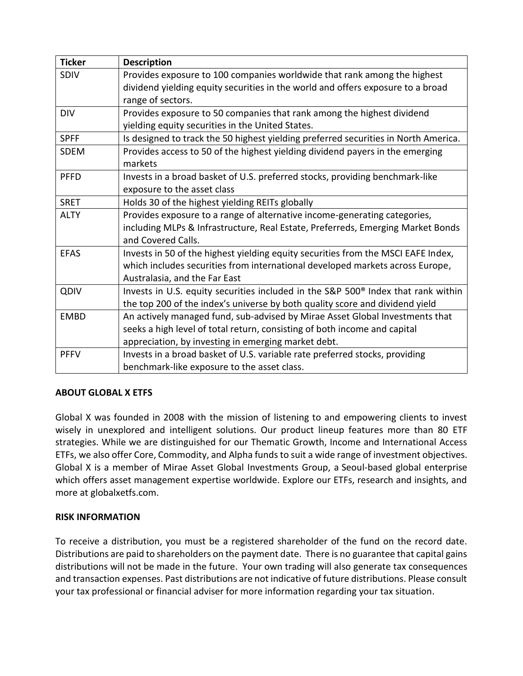| <b>Ticker</b> | <b>Description</b>                                                                            |  |
|---------------|-----------------------------------------------------------------------------------------------|--|
| SDIV          | Provides exposure to 100 companies worldwide that rank among the highest                      |  |
|               | dividend yielding equity securities in the world and offers exposure to a broad               |  |
|               | range of sectors.                                                                             |  |
| <b>DIV</b>    | Provides exposure to 50 companies that rank among the highest dividend                        |  |
|               | yielding equity securities in the United States.                                              |  |
| <b>SPFF</b>   | Is designed to track the 50 highest yielding preferred securities in North America.           |  |
| <b>SDEM</b>   | Provides access to 50 of the highest yielding dividend payers in the emerging                 |  |
|               | markets                                                                                       |  |
| <b>PFFD</b>   | Invests in a broad basket of U.S. preferred stocks, providing benchmark-like                  |  |
|               | exposure to the asset class                                                                   |  |
| <b>SRET</b>   | Holds 30 of the highest yielding REITs globally                                               |  |
| <b>ALTY</b>   | Provides exposure to a range of alternative income-generating categories,                     |  |
|               | including MLPs & Infrastructure, Real Estate, Preferreds, Emerging Market Bonds               |  |
|               | and Covered Calls.                                                                            |  |
| <b>EFAS</b>   | Invests in 50 of the highest yielding equity securities from the MSCI EAFE Index,             |  |
|               | which includes securities from international developed markets across Europe,                 |  |
|               | Australasia, and the Far East                                                                 |  |
| QDIV          | Invests in U.S. equity securities included in the S&P 500 <sup>®</sup> Index that rank within |  |
|               | the top 200 of the index's universe by both quality score and dividend yield                  |  |
| <b>EMBD</b>   | An actively managed fund, sub-advised by Mirae Asset Global Investments that                  |  |
|               | seeks a high level of total return, consisting of both income and capital                     |  |
|               | appreciation, by investing in emerging market debt.                                           |  |
| <b>PFFV</b>   | Invests in a broad basket of U.S. variable rate preferred stocks, providing                   |  |
|               | benchmark-like exposure to the asset class.                                                   |  |

### **ABOUT GLOBAL X ETFS**

Global X was founded in 2008 with the mission of listening to and empowering clients to invest wisely in unexplored and intelligent solutions. Our product lineup features more than 80 ETF strategies. While we are distinguished for our Thematic Growth, Income and International Access ETFs, we also offer Core, Commodity, and Alpha funds to suit a wide range of investment objectives. Global X is a member of Mirae Asset Global Investments Group, a Seoul-based global enterprise which offers asset management expertise worldwide. Explore our ETFs, research and insights, and more at globalxetfs.com.

#### **RISK INFORMATION**

To receive a distribution, you must be a registered shareholder of the fund on the record date. Distributions are paid to shareholders on the payment date. There is no guarantee that capital gains distributions will not be made in the future. Your own trading will also generate tax consequences and transaction expenses. Past distributions are not indicative of future distributions. Please consult your tax professional or financial adviser for more information regarding your tax situation.